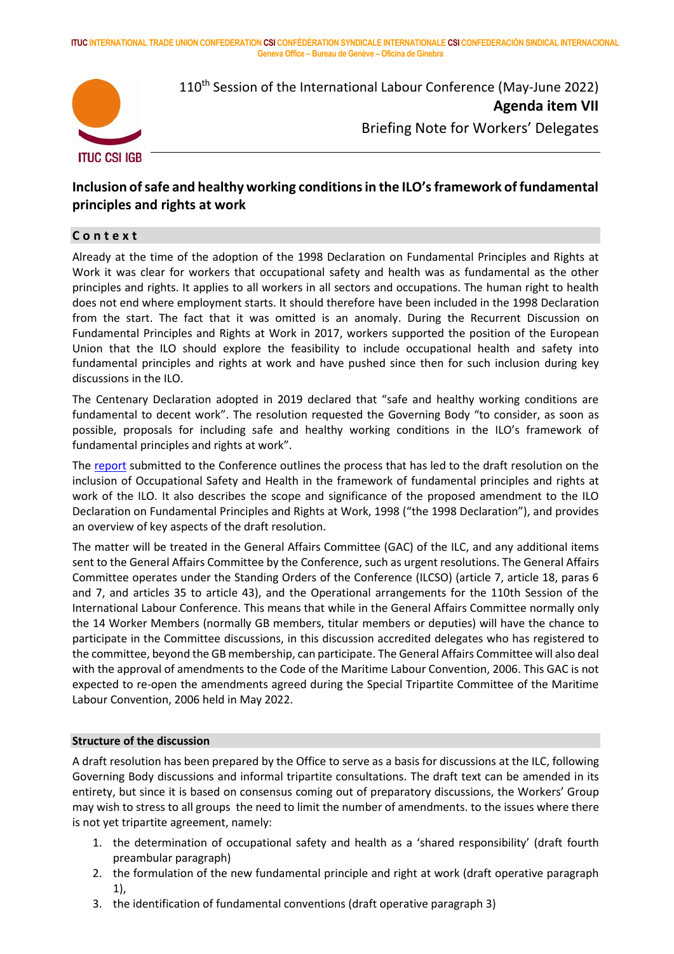**ITUC INTERNATIONAL TRADE UNION CONFEDERATION CSI CONFÉDÉRATION SYNDICALE INTERNATIONALE CSI CONFEDERACIÓN SINDICAL INTERNACIONAL Geneva Office – Bureau de Genève – Oficina de Ginebra**



110<sup>th</sup> Session of the International Labour Conference (May-June 2022) **Agenda item VII** Briefing Note for Workers' Delegates

# **Inclusion of safe and healthy working conditions in the ILO's framework of fundamental principles and rights at work**

### **C o n t e x t**

Already at the time of the adoption of the 1998 Declaration on Fundamental Principles and Rights at Work it was clear for workers that occupational safety and health was as fundamental as the other principles and rights. It applies to all workers in all sectors and occupations. The human right to health does not end where employment starts. It should therefore have been included in the 1998 Declaration from the start. The fact that it was omitted is an anomaly. During the Recurrent Discussion on Fundamental Principles and Rights at Work in 2017, workers supported the position of the European Union that the ILO should explore the feasibility to include occupational health and safety into fundamental principles and rights at work and have pushed since then for such inclusion during key discussions in the ILO.

The Centenary Declaration adopted in 2019 declared that "safe and healthy working conditions are fundamental to decent work". The resolution requested the Governing Body "to consider, as soon as possible, proposals for including safe and healthy working conditions in the ILO's framework of fundamental principles and rights at work".

The [report](https://www.ilo.org/wcmsp5/groups/public/---ed_norm/---relconf/documents/meetingdocument/wcms_844349.pdf) submitted to the Conference outlines the process that has led to the draft resolution on the inclusion of Occupational Safety and Health in the framework of fundamental principles and rights at work of the ILO. It also describes the scope and significance of the proposed amendment to the ILO Declaration on Fundamental Principles and Rights at Work, 1998 ("the 1998 Declaration"), and provides an overview of key aspects of the draft resolution.

The matter will be treated in the General Affairs Committee (GAC) of the ILC, and any additional items sent to the General Affairs Committee by the Conference, such as urgent resolutions. The General Affairs Committee operates under the Standing Orders of the Conference (ILCSO) (article 7, article 18, paras 6 and 7, and articles 35 to article 43), and the Operational arrangements for the 110th Session of the International Labour Conference. This means that while in the General Affairs Committee normally only the 14 Worker Members (normally GB members, titular members or deputies) will have the chance to participate in the Committee discussions, in this discussion accredited delegates who has registered to the committee, beyond the GB membership, can participate. The General Affairs Committee will also deal with the approval of amendments to the Code of the Maritime Labour Convention, 2006. This GAC is not expected to re-open the amendments agreed during the Special Tripartite Committee of the Maritime Labour Convention, 2006 held in May 2022.

#### **Structure of the discussion**

A draft resolution has been prepared by the Office to serve as a basis for discussions at the ILC, following Governing Body discussions and informal tripartite consultations. The draft text can be amended in its entirety, but since it is based on consensus coming out of preparatory discussions, the Workers' Group may wish to stress to all groups the need to limit the number of amendments. to the issues where there is not yet tripartite agreement, namely:

- 1. the determination of occupational safety and health as a 'shared responsibility' (draft fourth preambular paragraph)
- 2. the formulation of the new fundamental principle and right at work (draft operative paragraph 1),
- 3. the identification of fundamental conventions (draft operative paragraph 3)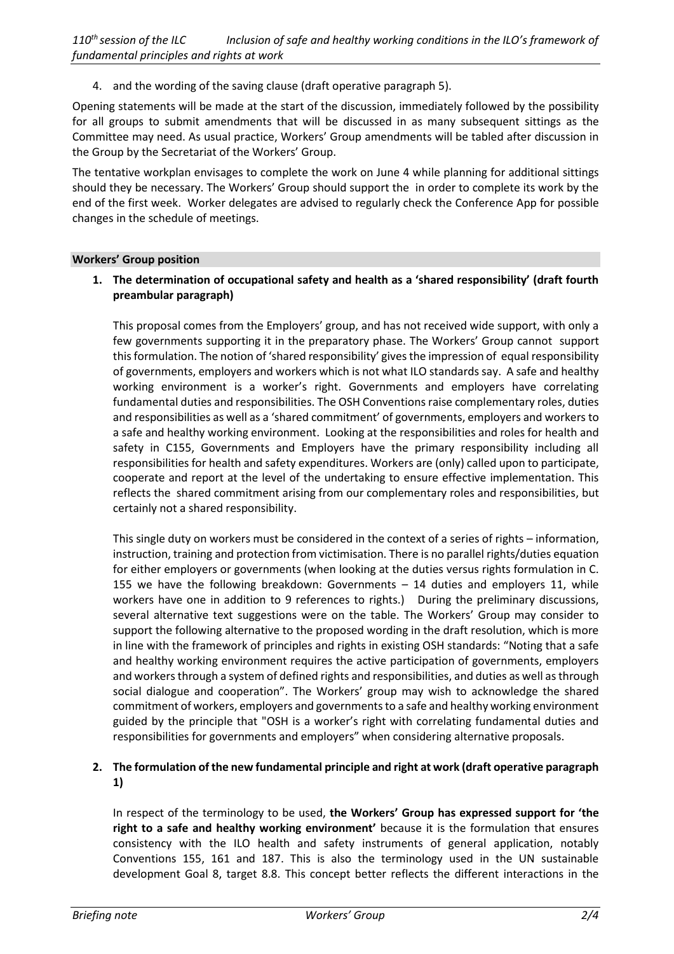4. and the wording of the saving clause (draft operative paragraph 5).

Opening statements will be made at the start of the discussion, immediately followed by the possibility for all groups to submit amendments that will be discussed in as many subsequent sittings as the Committee may need. As usual practice, Workers' Group amendments will be tabled after discussion in the Group by the Secretariat of the Workers' Group.

The tentative workplan envisages to complete the work on June 4 while planning for additional sittings should they be necessary. The Workers' Group should support the in order to complete its work by the end of the first week. Worker delegates are advised to regularly check the Conference App for possible changes in the schedule of meetings.

#### **Workers' Group position**

### **1. The determination of occupational safety and health as a 'shared responsibility' (draft fourth preambular paragraph)**

This proposal comes from the Employers' group, and has not received wide support, with only a few governments supporting it in the preparatory phase. The Workers' Group cannot support this formulation. The notion of 'shared responsibility' gives the impression of equal responsibility of governments, employers and workers which is not what ILO standards say. A safe and healthy working environment is a worker's right. Governments and employers have correlating fundamental duties and responsibilities. The OSH Conventions raise complementary roles, duties and responsibilities as well as a 'shared commitment' of governments, employers and workers to a safe and healthy working environment. Looking at the responsibilities and roles for health and safety in C155, Governments and Employers have the primary responsibility including all responsibilities for health and safety expenditures. Workers are (only) called upon to participate, cooperate and report at the level of the undertaking to ensure effective implementation. This reflects the shared commitment arising from our complementary roles and responsibilities, but certainly not a shared responsibility.

This single duty on workers must be considered in the context of a series of rights – information, instruction, training and protection from victimisation. There is no parallel rights/duties equation for either employers or governments (when looking at the duties versus rights formulation in C. 155 we have the following breakdown: Governments – 14 duties and employers 11, while workers have one in addition to 9 references to rights.) During the preliminary discussions, several alternative text suggestions were on the table. The Workers' Group may consider to support the following alternative to the proposed wording in the draft resolution, which is more in line with the framework of principles and rights in existing OSH standards: "Noting that a safe and healthy working environment requires the active participation of governments, employers and workers through a system of defined rights and responsibilities, and duties as well as through social dialogue and cooperation". The Workers' group may wish to acknowledge the shared commitment of workers, employers and governments to a safe and healthy working environment guided by the principle that "OSH is a worker's right with correlating fundamental duties and responsibilities for governments and employers" when considering alternative proposals.

# **2. The formulation of the new fundamental principle and right at work (draft operative paragraph 1)**

In respect of the terminology to be used, **the Workers' Group has expressed support for 'the right to a safe and healthy working environment'** because it is the formulation that ensures consistency with the ILO health and safety instruments of general application, notably Conventions 155, 161 and 187. This is also the terminology used in the UN sustainable development Goal 8, target 8.8. This concept better reflects the different interactions in the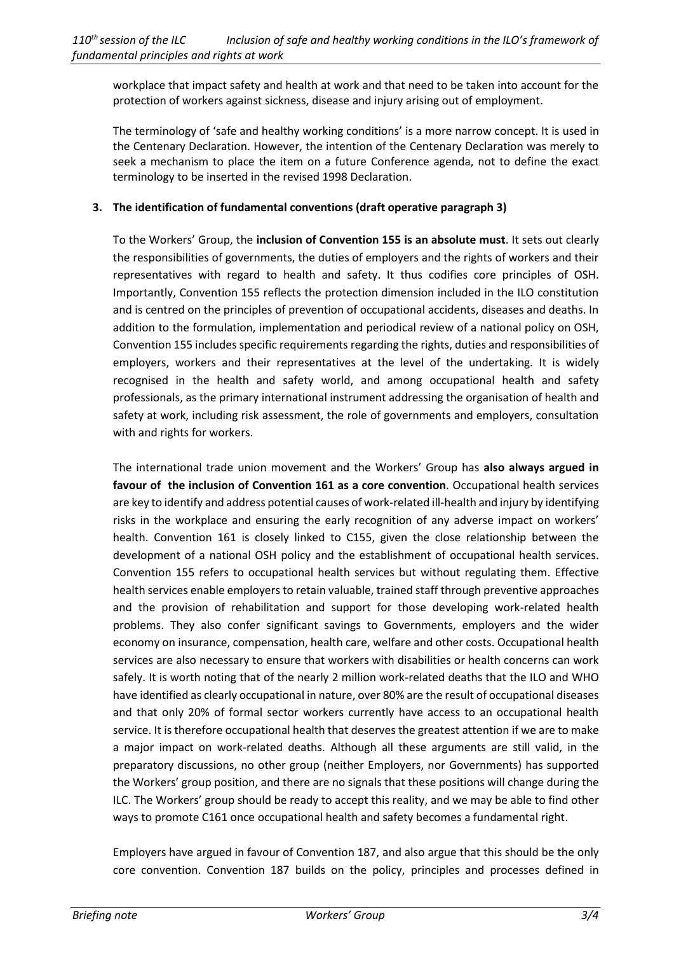workplace that impact safety and health at work and that need to be taken into account for the protection of workers against sickness, disease and injury arising out of employment.

The terminology of 'safe and healthy working conditions' is a more narrow concept. It is used in the Centenary Declaration. However, the intention of the Centenary Declaration was merely to seek a mechanism to place the item on a future Conference agenda, not to define the exact terminology to be inserted in the revised 1998 Declaration.

## **3. The identification of fundamental conventions (draft operative paragraph 3)**

To the Workers' Group, the **inclusion of Convention 155 is an absolute must**. It sets out clearly the responsibilities of governments, the duties of employers and the rights of workers and their representatives with regard to health and safety. It thus codifies core principles of OSH. Importantly, Convention 155 reflects the protection dimension included in the ILO constitution and is centred on the principles of prevention of occupational accidents, diseases and deaths. In addition to the formulation, implementation and periodical review of a national policy on OSH, Convention 155 includes specific requirements regarding the rights, duties and responsibilities of employers, workers and their representatives at the level of the undertaking. It is widely recognised in the health and safety world, and among occupational health and safety professionals, as the primary international instrument addressing the organisation of health and safety at work, including risk assessment, the role of governments and employers, consultation with and rights for workers.

The international trade union movement and the Workers' Group has **also always argued in favour of the inclusion of Convention 161 as a core convention**. Occupational health services are key to identify and address potential causes of work-related ill-health and injury by identifying risks in the workplace and ensuring the early recognition of any adverse impact on workers' health. Convention 161 is closely linked to C155, given the close relationship between the development of a national OSH policy and the establishment of occupational health services. Convention 155 refers to occupational health services but without regulating them. Effective health services enable employers to retain valuable, trained staff through preventive approaches and the provision of rehabilitation and support for those developing work-related health problems. They also confer significant savings to Governments, employers and the wider economy on insurance, compensation, health care, welfare and other costs. Occupational health services are also necessary to ensure that workers with disabilities or health concerns can work safely. It is worth noting that of the nearly 2 million work-related deaths that the ILO and WHO have identified as clearly occupational in nature, over 80% are the result of occupational diseases and that only 20% of formal sector workers currently have access to an occupational health service. It is therefore occupational health that deserves the greatest attention if we are to make a major impact on work-related deaths. Although all these arguments are still valid, in the preparatory discussions, no other group (neither Employers, nor Governments) has supported the Workers' group position, and there are no signals that these positions will change during the ILC. The Workers' group should be ready to accept this reality, and we may be able to find other ways to promote C161 once occupational health and safety becomes a fundamental right.

Employers have argued in favour of Convention 187, and also argue that this should be the only core convention. Convention 187 builds on the policy, principles and processes defined in